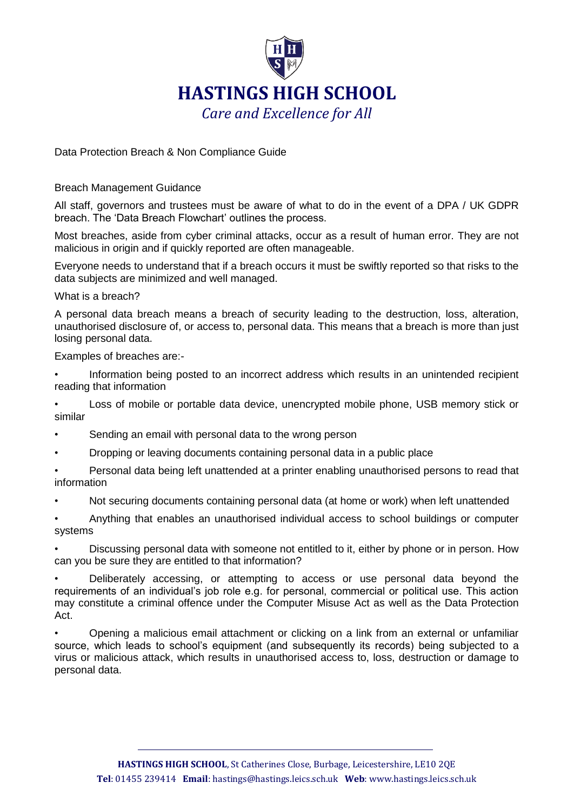

Data Protection Breach & Non Compliance Guide

Breach Management Guidance

All staff, governors and trustees must be aware of what to do in the event of a DPA / UK GDPR breach. The 'Data Breach Flowchart' outlines the process.

Most breaches, aside from cyber criminal attacks, occur as a result of human error. They are not malicious in origin and if quickly reported are often manageable.

Everyone needs to understand that if a breach occurs it must be swiftly reported so that risks to the data subjects are minimized and well managed.

What is a breach?

A personal data breach means a breach of security leading to the destruction, loss, alteration, unauthorised disclosure of, or access to, personal data. This means that a breach is more than just losing personal data.

Examples of breaches are:-

- Information being posted to an incorrect address which results in an unintended recipient reading that information
- Loss of mobile or portable data device, unencrypted mobile phone, USB memory stick or similar
- Sending an email with personal data to the wrong person
- Dropping or leaving documents containing personal data in a public place
- Personal data being left unattended at a printer enabling unauthorised persons to read that information
- Not securing documents containing personal data (at home or work) when left unattended
- Anything that enables an unauthorised individual access to school buildings or computer systems
- Discussing personal data with someone not entitled to it, either by phone or in person. How can you be sure they are entitled to that information?

• Deliberately accessing, or attempting to access or use personal data beyond the requirements of an individual's job role e.g. for personal, commercial or political use. This action may constitute a criminal offence under the Computer Misuse Act as well as the Data Protection Act.

• Opening a malicious email attachment or clicking on a link from an external or unfamiliar source, which leads to school's equipment (and subsequently its records) being subjected to a virus or malicious attack, which results in unauthorised access to, loss, destruction or damage to personal data.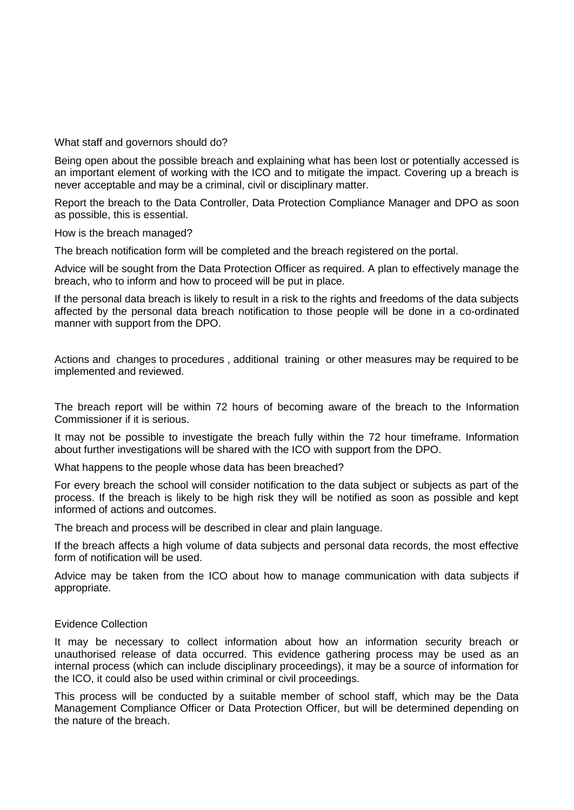What staff and governors should do?

Being open about the possible breach and explaining what has been lost or potentially accessed is an important element of working with the ICO and to mitigate the impact. Covering up a breach is never acceptable and may be a criminal, civil or disciplinary matter.

Report the breach to the Data Controller, Data Protection Compliance Manager and DPO as soon as possible, this is essential.

How is the breach managed?

The breach notification form will be completed and the breach registered on the portal.

Advice will be sought from the Data Protection Officer as required. A plan to effectively manage the breach, who to inform and how to proceed will be put in place.

If the personal data breach is likely to result in a risk to the rights and freedoms of the data subjects affected by the personal data breach notification to those people will be done in a co-ordinated manner with support from the DPO.

Actions and changes to procedures , additional training or other measures may be required to be implemented and reviewed.

The breach report will be within 72 hours of becoming aware of the breach to the Information Commissioner if it is serious.

It may not be possible to investigate the breach fully within the 72 hour timeframe. Information about further investigations will be shared with the ICO with support from the DPO.

What happens to the people whose data has been breached?

For every breach the school will consider notification to the data subject or subjects as part of the process. If the breach is likely to be high risk they will be notified as soon as possible and kept informed of actions and outcomes.

The breach and process will be described in clear and plain language.

If the breach affects a high volume of data subjects and personal data records, the most effective form of notification will be used.

Advice may be taken from the ICO about how to manage communication with data subjects if appropriate.

## Evidence Collection

It may be necessary to collect information about how an information security breach or unauthorised release of data occurred. This evidence gathering process may be used as an internal process (which can include disciplinary proceedings), it may be a source of information for the ICO, it could also be used within criminal or civil proceedings.

This process will be conducted by a suitable member of school staff, which may be the Data Management Compliance Officer or Data Protection Officer, but will be determined depending on the nature of the breach.